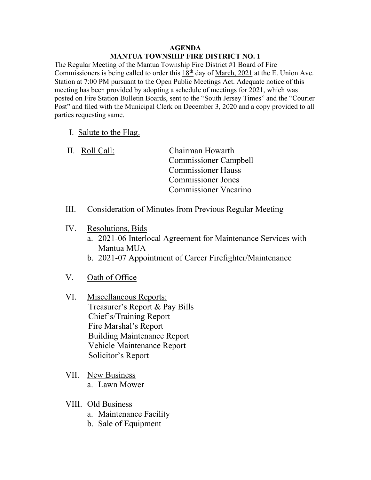## AGENDA MANTUA TOWNSHIP FIRE DISTRICT NO. 1

The Regular Meeting of the Mantua Township Fire District #1 Board of Fire Commissioners is being called to order this  $18<sup>th</sup>$  day of March, 2021 at the E. Union Ave. Station at 7:00 PM pursuant to the Open Public Meetings Act. Adequate notice of this meeting has been provided by adopting a schedule of meetings for 2021, which was posted on Fire Station Bulletin Boards, sent to the "South Jersey Times" and the "Courier Post" and filed with the Municipal Clerk on December 3, 2020 and a copy provided to all parties requesting same.

## I. Salute to the Flag.

 II. Roll Call: Chairman Howarth Commissioner Campbell Commissioner Hauss Commissioner Jones Commissioner Vacarino

- III. Consideration of Minutes from Previous Regular Meeting
- IV. Resolutions, Bids
	- a. 2021-06 Interlocal Agreement for Maintenance Services with Mantua MUA
	- b. 2021-07 Appointment of Career Firefighter/Maintenance
- V. Oath of Office
- VI. Miscellaneous Reports: Treasurer's Report & Pay Bills Chief's/Training Report Fire Marshal's Report Building Maintenance Report Vehicle Maintenance Report Solicitor's Report
- VII. New Business a. Lawn Mower
- VIII. Old Business
	- a. Maintenance Facility
	- b. Sale of Equipment